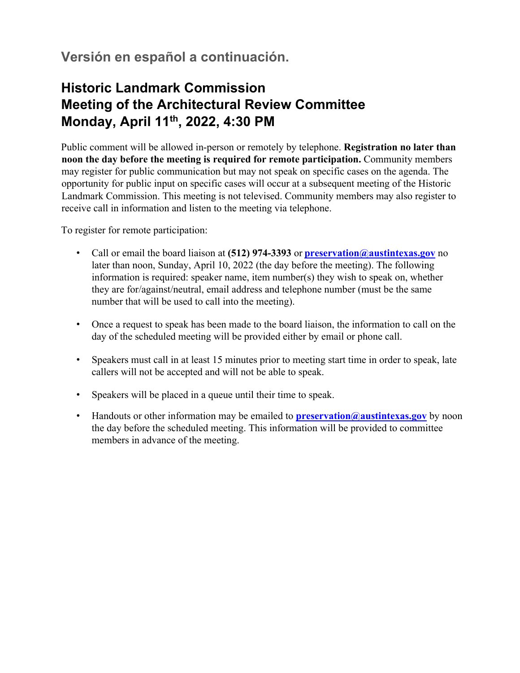## **Versión en español a continuación.**

## **Historic Landmark Commission Meeting of the Architectural Review Committee Monday, April 11th, 2022, 4:30 PM**

Public comment will be allowed in-person or remotely by telephone. **Registration no later than noon the day before the meeting is required for remote participation.** Community members may register for public communication but may not speak on specific cases on the agenda. The opportunity for public input on specific cases will occur at a subsequent meeting of the Historic Landmark Commission. This meeting is not televised. Community members may also register to receive call in information and listen to the meeting via telephone.

To register for remote participation:

- Call or email the board liaison at **(512) 974-3393** or **preservation@austintexas.gov** no later than noon, Sunday, April 10, 2022 (the day before the meeting). The following information is required: speaker name, item number(s) they wish to speak on, whether they are for/against/neutral, email address and telephone number (must be the same number that will be used to call into the meeting).
- Once a request to speak has been made to the board liaison, the information to call on the day of the scheduled meeting will be provided either by email or phone call.
- Speakers must call in at least 15 minutes prior to meeting start time in order to speak, late callers will not be accepted and will not be able to speak.
- Speakers will be placed in a queue until their time to speak.
- Handouts or other information may be emailed to **preservation@austintexas.gov** by noon the day before the scheduled meeting. This information will be provided to committee members in advance of the meeting.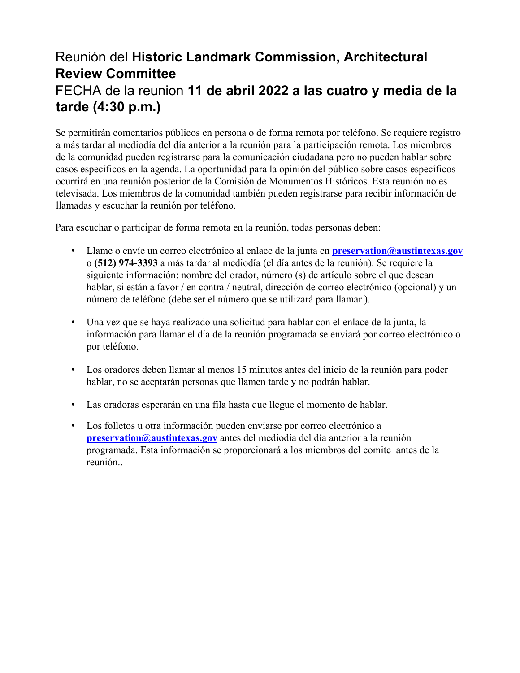## Reunión del **Historic Landmark Commission, Architectural Review Committee**  FECHA de la reunion **11 de abril 2022 a las cuatro y media de la tarde (4:30 p.m.)**

Se permitirán comentarios públicos en persona o de forma remota por teléfono. Se requiere registro a más tardar al mediodía del día anterior a la reunión para la participación remota. Los miembros de la comunidad pueden registrarse para la comunicación ciudadana pero no pueden hablar sobre casos específicos en la agenda. La oportunidad para la opinión del público sobre casos específicos ocurrirá en una reunión posterior de la Comisión de Monumentos Históricos. Esta reunión no es televisada. Los miembros de la comunidad también pueden registrarse para recibir información de llamadas y escuchar la reunión por teléfono.

Para escuchar o participar de forma remota en la reunión, todas personas deben:

- Llame o envíe un correo electrónico al enlace de la junta en **preservation@austintexas.gov** o **(512) 974-3393** a más tardar al mediodía (el día antes de la reunión). Se requiere la siguiente información: nombre del orador, número (s) de artículo sobre el que desean hablar, si están a favor / en contra / neutral, dirección de correo electrónico (opcional) y un número de teléfono (debe ser el número que se utilizará para llamar ).
- Una vez que se haya realizado una solicitud para hablar con el enlace de la junta, la información para llamar el día de la reunión programada se enviará por correo electrónico o por teléfono.
- Los oradores deben llamar al menos 15 minutos antes del inicio de la reunión para poder hablar, no se aceptarán personas que llamen tarde y no podrán hablar.
- Las oradoras esperarán en una fila hasta que llegue el momento de hablar.
- Los folletos u otra información pueden enviarse por correo electrónico a **preservation@austintexas.gov** antes del mediodía del día anterior a la reunión programada. Esta información se proporcionará a los miembros del comite antes de la reunión..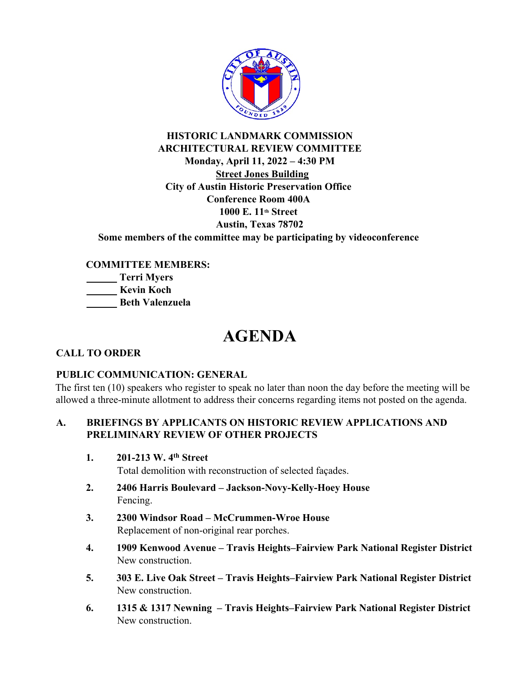

### **HISTORIC LANDMARK COMMISSION ARCHITECTURAL REVIEW COMMITTEE Monday, April 11, 2022 – 4:30 PM Street Jones Building City of Austin Historic Preservation Office Conference Room 400A 1000 E. 11th Street Austin, Texas 78702 Some members of the committee may be participating by videoconference**

**COMMITTEE MEMBERS: Terri Myers Kevin Koch Beth Valenzuela**

# **AGENDA**

### **CALL TO ORDER**

#### **PUBLIC COMMUNICATION: GENERAL**

The first ten (10) speakers who register to speak no later than noon the day before the meeting will be allowed a three-minute allotment to address their concerns regarding items not posted on the agenda.

### **A. BRIEFINGS BY APPLICANTS ON HISTORIC REVIEW APPLICATIONS AND PRELIMINARY REVIEW OF OTHER PROJECTS**

**1. 201-213 W. 4th Street**

Total demolition with reconstruction of selected façades.

- **2. 2406 Harris Boulevard Jackson-Novy-Kelly-Hoey House** Fencing.
- **3. 2300 Windsor Road McCrummen-Wroe House** Replacement of non-original rear porches.
- **4. 1909 Kenwood Avenue Travis Heights–Fairview Park National Register District** New construction.
- **5. 303 E. Live Oak Street Travis Heights–Fairview Park National Register District** New construction.
- **6. 1315 & 1317 Newning Travis Heights–Fairview Park National Register District** New construction.